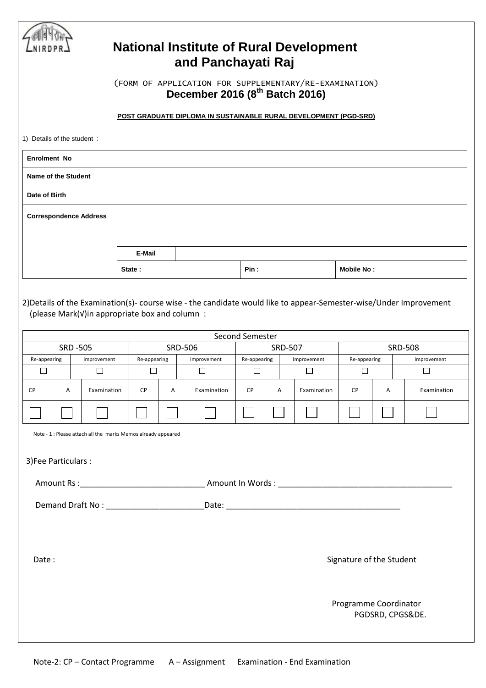| <b>National Institute of Rural Development</b><br>and Panchayati Raj |                                                                                                      |  |                       |                                                               |                |                                                                                                                    |                                   |                                       |             |                          |   |                                         |  |
|----------------------------------------------------------------------|------------------------------------------------------------------------------------------------------|--|-----------------------|---------------------------------------------------------------|----------------|--------------------------------------------------------------------------------------------------------------------|-----------------------------------|---------------------------------------|-------------|--------------------------|---|-----------------------------------------|--|
|                                                                      | (FORM OF APPLICATION FOR SUPPLEMENTARY/RE-EXAMINATION)<br>December 2016 (8 <sup>th</sup> Batch 2016) |  |                       |                                                               |                |                                                                                                                    |                                   |                                       |             |                          |   |                                         |  |
|                                                                      |                                                                                                      |  |                       |                                                               |                | POST GRADUATE DIPLOMA IN SUSTAINABLE RURAL DEVELOPMENT (PGD-SRD)                                                   |                                   |                                       |             |                          |   |                                         |  |
| 1) Details of the student:                                           |                                                                                                      |  |                       |                                                               |                |                                                                                                                    |                                   |                                       |             |                          |   |                                         |  |
| <b>Enrolment No</b>                                                  |                                                                                                      |  |                       |                                                               |                |                                                                                                                    |                                   |                                       |             |                          |   |                                         |  |
| Name of the Student                                                  |                                                                                                      |  |                       |                                                               |                |                                                                                                                    |                                   |                                       |             |                          |   |                                         |  |
| Date of Birth                                                        |                                                                                                      |  |                       |                                                               |                |                                                                                                                    |                                   |                                       |             |                          |   |                                         |  |
| <b>Correspondence Address</b>                                        |                                                                                                      |  |                       |                                                               |                |                                                                                                                    |                                   |                                       |             |                          |   |                                         |  |
|                                                                      |                                                                                                      |  |                       |                                                               |                |                                                                                                                    |                                   |                                       |             |                          |   |                                         |  |
|                                                                      |                                                                                                      |  |                       | E-Mail                                                        |                |                                                                                                                    |                                   |                                       |             |                          |   |                                         |  |
|                                                                      |                                                                                                      |  |                       | State:                                                        |                |                                                                                                                    | Pin :                             |                                       |             | Mobile No:               |   |                                         |  |
|                                                                      |                                                                                                      |  |                       | (please Mark(v)in appropriate box and column:                 |                | 2) Details of the Examination(s)- course wise - the candidate would like to appear-Semester-wise/Under Improvement |                                   |                                       |             |                          |   |                                         |  |
| <b>SRD -505</b>                                                      |                                                                                                      |  |                       |                                                               | <b>SRD-506</b> |                                                                                                                    | Second Semester<br><b>SRD-507</b> |                                       |             | <b>SRD-508</b>           |   |                                         |  |
| $\Box$                                                               | Re-appearing                                                                                         |  | Improvement<br>$\Box$ | Re-appearing<br>□                                             |                | Improvement<br>$\Box$                                                                                              | □                                 | Re-appearing<br>Improvement<br>$\Box$ |             | Re-appearing<br>□        |   | Improvement<br>$\overline{\phantom{a}}$ |  |
| CP                                                                   | Α                                                                                                    |  | Examination           | <b>CP</b>                                                     | Α              | Examination                                                                                                        | СP                                | Α                                     | Examination | <b>CP</b>                | Α | Examination                             |  |
|                                                                      |                                                                                                      |  |                       |                                                               |                |                                                                                                                    |                                   |                                       |             |                          |   |                                         |  |
|                                                                      |                                                                                                      |  |                       | Note - 1 : Please attach all the marks Memos already appeared |                |                                                                                                                    |                                   |                                       |             |                          |   |                                         |  |
|                                                                      |                                                                                                      |  |                       |                                                               |                |                                                                                                                    |                                   |                                       |             |                          |   |                                         |  |
| 3) Fee Particulars:                                                  |                                                                                                      |  |                       |                                                               |                |                                                                                                                    |                                   |                                       |             |                          |   |                                         |  |
|                                                                      |                                                                                                      |  |                       |                                                               |                |                                                                                                                    |                                   |                                       |             |                          |   |                                         |  |
|                                                                      |                                                                                                      |  |                       |                                                               |                |                                                                                                                    |                                   |                                       |             |                          |   |                                         |  |
|                                                                      |                                                                                                      |  |                       |                                                               |                |                                                                                                                    |                                   |                                       |             |                          |   |                                         |  |
| Date:                                                                |                                                                                                      |  |                       |                                                               |                |                                                                                                                    |                                   |                                       |             | Signature of the Student |   |                                         |  |
|                                                                      |                                                                                                      |  |                       |                                                               |                |                                                                                                                    |                                   |                                       |             |                          |   |                                         |  |
|                                                                      | Programme Coordinator<br>PGDSRD, CPGS&DE.                                                            |  |                       |                                                               |                |                                                                                                                    |                                   |                                       |             |                          |   |                                         |  |